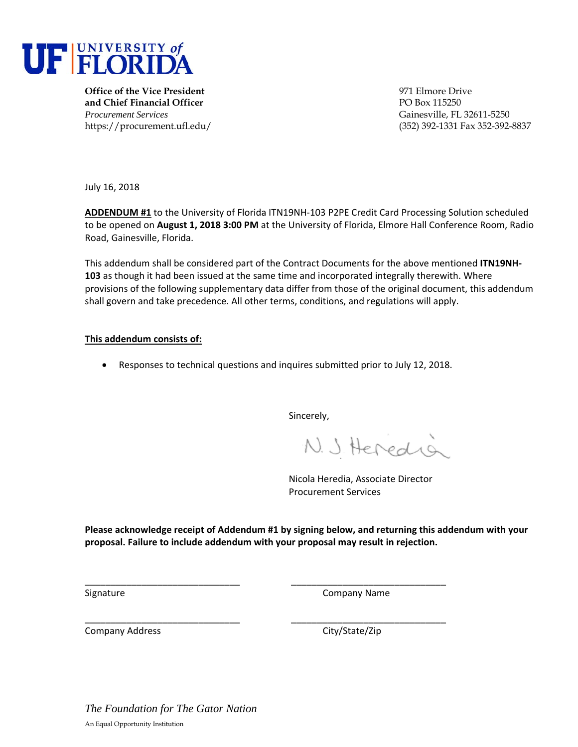

**Office of the Vice President** 971 Elmore Drive **and Chief Financial Officer** PO Box 115250 *Procurement Services* Gainesville, FL 32611-5250

https://procurement.ufl.edu/ (352) 392-1331 Fax 352-392-8837

July 16, 2018

**ADDENDUM #1** to the University of Florida ITN19NH‐103 P2PE Credit Card Processing Solution scheduled to be opened on **August 1, 2018 3:00 PM** at the University of Florida, Elmore Hall Conference Room, Radio Road, Gainesville, Florida.

This addendum shall be considered part of the Contract Documents for the above mentioned **ITN19NH‐ 103** as though it had been issued at the same time and incorporated integrally therewith. Where provisions of the following supplementary data differ from those of the original document, this addendum shall govern and take precedence. All other terms, conditions, and regulations will apply.

### **This addendum consists of:**

Responses to technical questions and inquires submitted prior to July 12, 2018.

Sincerely,

N. J. Heredia

Nicola Heredia, Associate Director Procurement Services

**Please acknowledge receipt of Addendum #1 by signing below, and returning this addendum with your proposal. Failure to include addendum with your proposal may result in rejection.** 

\_\_\_\_\_\_\_\_\_\_\_\_\_\_\_\_\_\_\_\_\_\_\_\_\_\_\_\_\_\_ \_\_\_\_\_\_\_\_\_\_\_\_\_\_\_\_\_\_\_\_\_\_\_\_\_\_\_\_\_\_

\_\_\_\_\_\_\_\_\_\_\_\_\_\_\_\_\_\_\_\_\_\_\_\_\_\_\_\_\_\_ \_\_\_\_\_\_\_\_\_\_\_\_\_\_\_\_\_\_\_\_\_\_\_\_\_\_\_\_\_\_

Signature **Company Name** 

Company Address 
Company Address

Company City/State/Zip